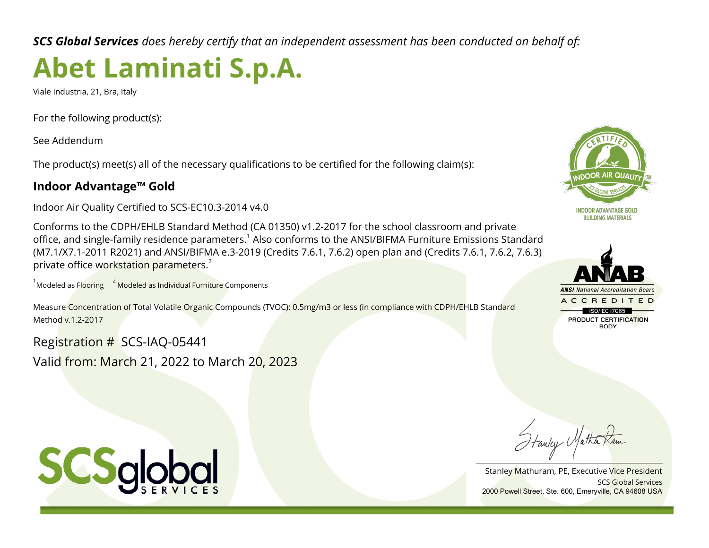*SCS Global Services does hereby certify that an independent assessment has been conducted on behalf of:*

# **Abet Laminati S.p.A.**

Viale Industria, 21, Bra, Italy

For the following product(s):

See Addendum

The product(s) meet(s) all of the necessary qualifications to be certified for the following claim(s):

## **Indoor Advantage™ Gold**

Indoor Air Quality Certified to SCS-EC10.3-2014 v4.0

Conforms to the CDPH/EHLB Standard Method (CA 01350) v1.2-2017 for the school classroom and private office, and single-family residence parameters.<sup>1</sup> Also conforms to the ANSI/BIFMA Furniture Emissions Standard (M7.1/X7.1-2011 R2021) and ANSI/BIFMA e.3-2019 (Credits 7.6.1, 7.6.2) open plan and (Credits 7.6.1, 7.6.2, 7.6.3) private office workstation parameters.<sup>2</sup>

 $1$ Modeled as Fl<mark>ooring  $12$  Modeled as Individual Furniture C</mark>omponents

Measure Concentration of Total Volatile Organic Compounds (TVOC): 0.5mg/m3 or less (in compliance with CDPH/EHLB Standard Method v.1.2-2017

Registration # SCS-IAQ-05441 Valid from: March 21, 2022 to March 20, 2023





Hanley Matha

SCS Global Services Stanley Mathuram, PE, Executive Vice President 2000 Powell Street, Ste. 600, Emeryville, CA 94608 USA